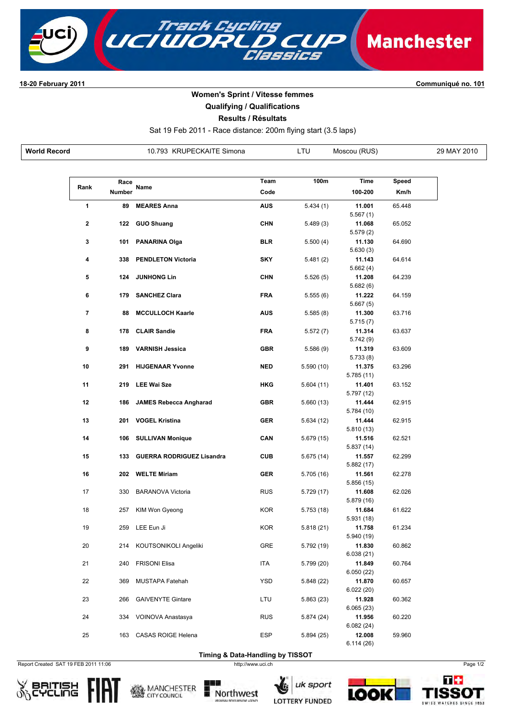

**1820 February 2011 Communiqué no. 101**

## **Women's Sprint / Vitesse femmes**

**Qualifying / Qualifications**

**Results / Résultats**

Sat 19 Feb 2011 - Race distance: 200m flying start (3.5 laps)

| <b>World Record</b><br><b>KRUPECKAITE Simona</b><br>793.<br>$\cdots$ | _TU | (RUS)<br>Moscou | 29 MAY 2010 |
|----------------------------------------------------------------------|-----|-----------------|-------------|
|----------------------------------------------------------------------|-----|-----------------|-------------|

| Rank<br>Name<br>Code<br>100-200<br>Km/h<br><b>Number</b><br>1<br>89<br><b>MEARES Anna</b><br><b>AUS</b><br>5.434(1)<br>11.001<br>65.448<br>5.567(1)<br><b>CHN</b><br>2<br>122<br><b>GUO Shuang</b><br>5.489(3)<br>11.068<br>65.052<br>5.579(2)<br>101<br><b>BLR</b><br>11.130<br>64.690<br>3<br><b>PANARINA Olga</b><br>5.500(4)<br>5.630(3)<br>4<br>338<br><b>PENDLETON Victoria</b><br><b>SKY</b><br>5.481(2)<br>11.143<br>64.614<br>5.662(4)<br><b>CHN</b><br>64.239<br>5<br>124<br><b>JUNHONG Lin</b><br>5.526(5)<br>11.208<br>5.682(6)<br><b>FRA</b><br>6<br>179<br><b>SANCHEZ Clara</b><br>5.555(6)<br>11.222<br>64.159<br>5.667(5)<br><b>MCCULLOCH Kaarle</b><br><b>AUS</b><br>63.716<br>7<br>88<br>5.585(8)<br>11.300<br>5.715(7)<br><b>FRA</b><br>8<br>178<br><b>CLAIR Sandie</b><br>11.314<br>63.637<br>5.572(7)<br>5.742(9)<br><b>GBR</b><br>9<br>189<br><b>VARNISH Jessica</b><br>5.586(9)<br>11.319<br>63.609<br>5.733(8)<br>10<br>291<br><b>HIJGENAAR Yvonne</b><br><b>NED</b><br>5.590(10)<br>11.375<br>63.296<br>5.785 (11)<br>11<br>219<br><b>LEE Wai Sze</b><br><b>HKG</b><br>63.152<br>5.604(11)<br>11.401<br>5.797 (12)<br>12<br>186<br><b>JAMES Rebecca Angharad</b><br>GBR<br>11.444<br>62.915<br>5.660(13)<br>5.784 (10)<br>13<br><b>GER</b><br>62.915<br>201<br><b>VOGEL Kristina</b><br>5.634(12)<br>11.444<br>5.810(13)<br>CAN<br>14<br>106<br><b>SULLIVAN Monique</b><br>11.516<br>62.521<br>5.679 (15)<br>5.837(14)<br>15<br><b>CUB</b><br>62.299<br>133<br><b>GUERRA RODRIGUEZ Lisandra</b><br>5.675 (14)<br>11.557<br>5.882(17)<br><b>GER</b><br>16<br>202<br><b>WELTE Miriam</b><br>11.561<br>62.278<br>5.705 (16)<br>5.856(15)<br><b>RUS</b><br>62.026<br>17<br>330<br><b>BARANOVA Victoria</b><br>5.729 (17)<br>11.608<br>5.879 (16)<br>18<br>257<br>KIM Won Gyeong<br><b>KOR</b><br>5.753(18)<br>11.684<br>61.622<br>5.931(18)<br>61.234<br>19<br>259<br>LEE Eun Ji<br><b>KOR</b><br>5.818(21)<br>11.758<br>5.940 (19)<br><b>GRE</b><br>20<br>214<br>5.792 (19)<br>11.830<br>60.862<br>KOUTSONIKOLI Angeliki<br>6.038(21)<br>ITA<br>11.849<br>21<br>240<br><b>FRISONI Elisa</b><br>5.799 (20)<br>60.764<br>6.050(22)<br>22<br><b>YSD</b><br>369<br>MUSTAPA Fatehah<br>5.848(22)<br>11.870<br>60.657<br>6.022(20)<br>11.928<br>23<br>266<br><b>GAIVENYTE Gintare</b><br>LTU<br>5.863 (23)<br>60.362<br>6.065(23)<br><b>RUS</b><br>24<br>334<br>VOINOVA Anastasya<br>5.874 (24)<br>11.956<br>60.220<br>6.082(24)<br>12.008<br>59.960<br>25<br>163<br>CASAS ROIGE Helena<br>ESP<br>5.894(25) | Race | Team | 100m | Time      | Speed |
|-----------------------------------------------------------------------------------------------------------------------------------------------------------------------------------------------------------------------------------------------------------------------------------------------------------------------------------------------------------------------------------------------------------------------------------------------------------------------------------------------------------------------------------------------------------------------------------------------------------------------------------------------------------------------------------------------------------------------------------------------------------------------------------------------------------------------------------------------------------------------------------------------------------------------------------------------------------------------------------------------------------------------------------------------------------------------------------------------------------------------------------------------------------------------------------------------------------------------------------------------------------------------------------------------------------------------------------------------------------------------------------------------------------------------------------------------------------------------------------------------------------------------------------------------------------------------------------------------------------------------------------------------------------------------------------------------------------------------------------------------------------------------------------------------------------------------------------------------------------------------------------------------------------------------------------------------------------------------------------------------------------------------------------------------------------------------------------------------------------------------------------------------------------------------------------------------------------------------------------------------------------------------------------------------------------------------------------------------------------------------------------------------------------------------------------------------------------------------------------------------------------------------------|------|------|------|-----------|-------|
|                                                                                                                                                                                                                                                                                                                                                                                                                                                                                                                                                                                                                                                                                                                                                                                                                                                                                                                                                                                                                                                                                                                                                                                                                                                                                                                                                                                                                                                                                                                                                                                                                                                                                                                                                                                                                                                                                                                                                                                                                                                                                                                                                                                                                                                                                                                                                                                                                                                                                                                             |      |      |      |           |       |
|                                                                                                                                                                                                                                                                                                                                                                                                                                                                                                                                                                                                                                                                                                                                                                                                                                                                                                                                                                                                                                                                                                                                                                                                                                                                                                                                                                                                                                                                                                                                                                                                                                                                                                                                                                                                                                                                                                                                                                                                                                                                                                                                                                                                                                                                                                                                                                                                                                                                                                                             |      |      |      |           |       |
|                                                                                                                                                                                                                                                                                                                                                                                                                                                                                                                                                                                                                                                                                                                                                                                                                                                                                                                                                                                                                                                                                                                                                                                                                                                                                                                                                                                                                                                                                                                                                                                                                                                                                                                                                                                                                                                                                                                                                                                                                                                                                                                                                                                                                                                                                                                                                                                                                                                                                                                             |      |      |      |           |       |
|                                                                                                                                                                                                                                                                                                                                                                                                                                                                                                                                                                                                                                                                                                                                                                                                                                                                                                                                                                                                                                                                                                                                                                                                                                                                                                                                                                                                                                                                                                                                                                                                                                                                                                                                                                                                                                                                                                                                                                                                                                                                                                                                                                                                                                                                                                                                                                                                                                                                                                                             |      |      |      |           |       |
|                                                                                                                                                                                                                                                                                                                                                                                                                                                                                                                                                                                                                                                                                                                                                                                                                                                                                                                                                                                                                                                                                                                                                                                                                                                                                                                                                                                                                                                                                                                                                                                                                                                                                                                                                                                                                                                                                                                                                                                                                                                                                                                                                                                                                                                                                                                                                                                                                                                                                                                             |      |      |      |           |       |
|                                                                                                                                                                                                                                                                                                                                                                                                                                                                                                                                                                                                                                                                                                                                                                                                                                                                                                                                                                                                                                                                                                                                                                                                                                                                                                                                                                                                                                                                                                                                                                                                                                                                                                                                                                                                                                                                                                                                                                                                                                                                                                                                                                                                                                                                                                                                                                                                                                                                                                                             |      |      |      |           |       |
|                                                                                                                                                                                                                                                                                                                                                                                                                                                                                                                                                                                                                                                                                                                                                                                                                                                                                                                                                                                                                                                                                                                                                                                                                                                                                                                                                                                                                                                                                                                                                                                                                                                                                                                                                                                                                                                                                                                                                                                                                                                                                                                                                                                                                                                                                                                                                                                                                                                                                                                             |      |      |      |           |       |
|                                                                                                                                                                                                                                                                                                                                                                                                                                                                                                                                                                                                                                                                                                                                                                                                                                                                                                                                                                                                                                                                                                                                                                                                                                                                                                                                                                                                                                                                                                                                                                                                                                                                                                                                                                                                                                                                                                                                                                                                                                                                                                                                                                                                                                                                                                                                                                                                                                                                                                                             |      |      |      |           |       |
|                                                                                                                                                                                                                                                                                                                                                                                                                                                                                                                                                                                                                                                                                                                                                                                                                                                                                                                                                                                                                                                                                                                                                                                                                                                                                                                                                                                                                                                                                                                                                                                                                                                                                                                                                                                                                                                                                                                                                                                                                                                                                                                                                                                                                                                                                                                                                                                                                                                                                                                             |      |      |      |           |       |
|                                                                                                                                                                                                                                                                                                                                                                                                                                                                                                                                                                                                                                                                                                                                                                                                                                                                                                                                                                                                                                                                                                                                                                                                                                                                                                                                                                                                                                                                                                                                                                                                                                                                                                                                                                                                                                                                                                                                                                                                                                                                                                                                                                                                                                                                                                                                                                                                                                                                                                                             |      |      |      |           |       |
|                                                                                                                                                                                                                                                                                                                                                                                                                                                                                                                                                                                                                                                                                                                                                                                                                                                                                                                                                                                                                                                                                                                                                                                                                                                                                                                                                                                                                                                                                                                                                                                                                                                                                                                                                                                                                                                                                                                                                                                                                                                                                                                                                                                                                                                                                                                                                                                                                                                                                                                             |      |      |      |           |       |
|                                                                                                                                                                                                                                                                                                                                                                                                                                                                                                                                                                                                                                                                                                                                                                                                                                                                                                                                                                                                                                                                                                                                                                                                                                                                                                                                                                                                                                                                                                                                                                                                                                                                                                                                                                                                                                                                                                                                                                                                                                                                                                                                                                                                                                                                                                                                                                                                                                                                                                                             |      |      |      |           |       |
|                                                                                                                                                                                                                                                                                                                                                                                                                                                                                                                                                                                                                                                                                                                                                                                                                                                                                                                                                                                                                                                                                                                                                                                                                                                                                                                                                                                                                                                                                                                                                                                                                                                                                                                                                                                                                                                                                                                                                                                                                                                                                                                                                                                                                                                                                                                                                                                                                                                                                                                             |      |      |      |           |       |
|                                                                                                                                                                                                                                                                                                                                                                                                                                                                                                                                                                                                                                                                                                                                                                                                                                                                                                                                                                                                                                                                                                                                                                                                                                                                                                                                                                                                                                                                                                                                                                                                                                                                                                                                                                                                                                                                                                                                                                                                                                                                                                                                                                                                                                                                                                                                                                                                                                                                                                                             |      |      |      |           |       |
|                                                                                                                                                                                                                                                                                                                                                                                                                                                                                                                                                                                                                                                                                                                                                                                                                                                                                                                                                                                                                                                                                                                                                                                                                                                                                                                                                                                                                                                                                                                                                                                                                                                                                                                                                                                                                                                                                                                                                                                                                                                                                                                                                                                                                                                                                                                                                                                                                                                                                                                             |      |      |      |           |       |
|                                                                                                                                                                                                                                                                                                                                                                                                                                                                                                                                                                                                                                                                                                                                                                                                                                                                                                                                                                                                                                                                                                                                                                                                                                                                                                                                                                                                                                                                                                                                                                                                                                                                                                                                                                                                                                                                                                                                                                                                                                                                                                                                                                                                                                                                                                                                                                                                                                                                                                                             |      |      |      |           |       |
|                                                                                                                                                                                                                                                                                                                                                                                                                                                                                                                                                                                                                                                                                                                                                                                                                                                                                                                                                                                                                                                                                                                                                                                                                                                                                                                                                                                                                                                                                                                                                                                                                                                                                                                                                                                                                                                                                                                                                                                                                                                                                                                                                                                                                                                                                                                                                                                                                                                                                                                             |      |      |      |           |       |
|                                                                                                                                                                                                                                                                                                                                                                                                                                                                                                                                                                                                                                                                                                                                                                                                                                                                                                                                                                                                                                                                                                                                                                                                                                                                                                                                                                                                                                                                                                                                                                                                                                                                                                                                                                                                                                                                                                                                                                                                                                                                                                                                                                                                                                                                                                                                                                                                                                                                                                                             |      |      |      |           |       |
|                                                                                                                                                                                                                                                                                                                                                                                                                                                                                                                                                                                                                                                                                                                                                                                                                                                                                                                                                                                                                                                                                                                                                                                                                                                                                                                                                                                                                                                                                                                                                                                                                                                                                                                                                                                                                                                                                                                                                                                                                                                                                                                                                                                                                                                                                                                                                                                                                                                                                                                             |      |      |      |           |       |
|                                                                                                                                                                                                                                                                                                                                                                                                                                                                                                                                                                                                                                                                                                                                                                                                                                                                                                                                                                                                                                                                                                                                                                                                                                                                                                                                                                                                                                                                                                                                                                                                                                                                                                                                                                                                                                                                                                                                                                                                                                                                                                                                                                                                                                                                                                                                                                                                                                                                                                                             |      |      |      |           |       |
|                                                                                                                                                                                                                                                                                                                                                                                                                                                                                                                                                                                                                                                                                                                                                                                                                                                                                                                                                                                                                                                                                                                                                                                                                                                                                                                                                                                                                                                                                                                                                                                                                                                                                                                                                                                                                                                                                                                                                                                                                                                                                                                                                                                                                                                                                                                                                                                                                                                                                                                             |      |      |      |           |       |
|                                                                                                                                                                                                                                                                                                                                                                                                                                                                                                                                                                                                                                                                                                                                                                                                                                                                                                                                                                                                                                                                                                                                                                                                                                                                                                                                                                                                                                                                                                                                                                                                                                                                                                                                                                                                                                                                                                                                                                                                                                                                                                                                                                                                                                                                                                                                                                                                                                                                                                                             |      |      |      |           |       |
|                                                                                                                                                                                                                                                                                                                                                                                                                                                                                                                                                                                                                                                                                                                                                                                                                                                                                                                                                                                                                                                                                                                                                                                                                                                                                                                                                                                                                                                                                                                                                                                                                                                                                                                                                                                                                                                                                                                                                                                                                                                                                                                                                                                                                                                                                                                                                                                                                                                                                                                             |      |      |      |           |       |
|                                                                                                                                                                                                                                                                                                                                                                                                                                                                                                                                                                                                                                                                                                                                                                                                                                                                                                                                                                                                                                                                                                                                                                                                                                                                                                                                                                                                                                                                                                                                                                                                                                                                                                                                                                                                                                                                                                                                                                                                                                                                                                                                                                                                                                                                                                                                                                                                                                                                                                                             |      |      |      |           |       |
|                                                                                                                                                                                                                                                                                                                                                                                                                                                                                                                                                                                                                                                                                                                                                                                                                                                                                                                                                                                                                                                                                                                                                                                                                                                                                                                                                                                                                                                                                                                                                                                                                                                                                                                                                                                                                                                                                                                                                                                                                                                                                                                                                                                                                                                                                                                                                                                                                                                                                                                             |      |      |      | 6.114(26) |       |

Report Created SAT 19 FEB 2011 11:06 http://www.uci.ch http://www.uci.ch Page 1/2







**Timing & Data-Handling by TISSOT**